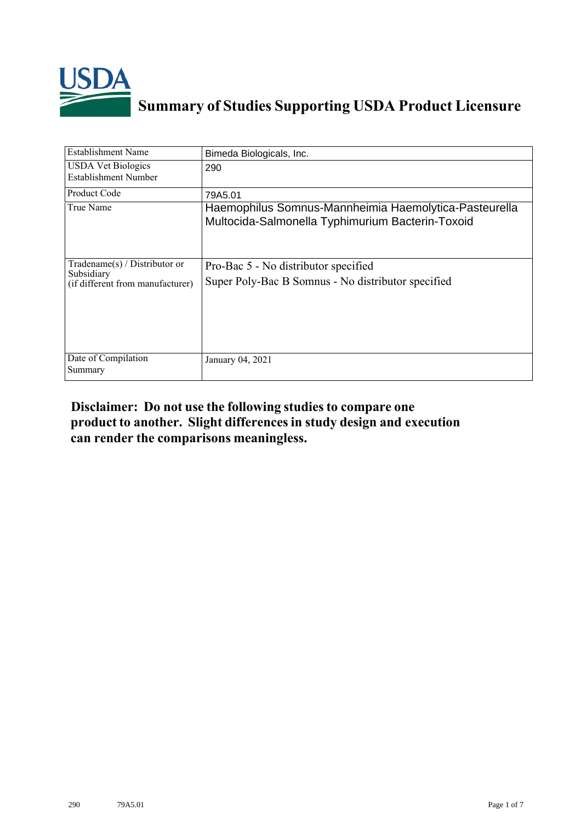

## **Summary of Studies Supporting USDA Product Licensure**

| <b>Establishment Name</b>                                                       | Bimeda Biologicals, Inc.                                                                                  |
|---------------------------------------------------------------------------------|-----------------------------------------------------------------------------------------------------------|
| <b>USDA Vet Biologics</b><br><b>Establishment Number</b>                        | 290                                                                                                       |
| <b>Product Code</b>                                                             | 79A5.01                                                                                                   |
| True Name                                                                       | Haemophilus Somnus-Mannheimia Haemolytica-Pasteurella<br>Multocida-Salmonella Typhimurium Bacterin-Toxoid |
| Tradename(s) / Distributor or<br>Subsidiary<br>(if different from manufacturer) | Pro-Bac 5 - No distributor specified<br>Super Poly-Bac B Somnus - No distributor specified                |
| Date of Compilation<br>Summary                                                  | January 04, 2021                                                                                          |

## **Disclaimer: Do not use the following studiesto compare one product to another. Slight differencesin study design and execution can render the comparisons meaningless.**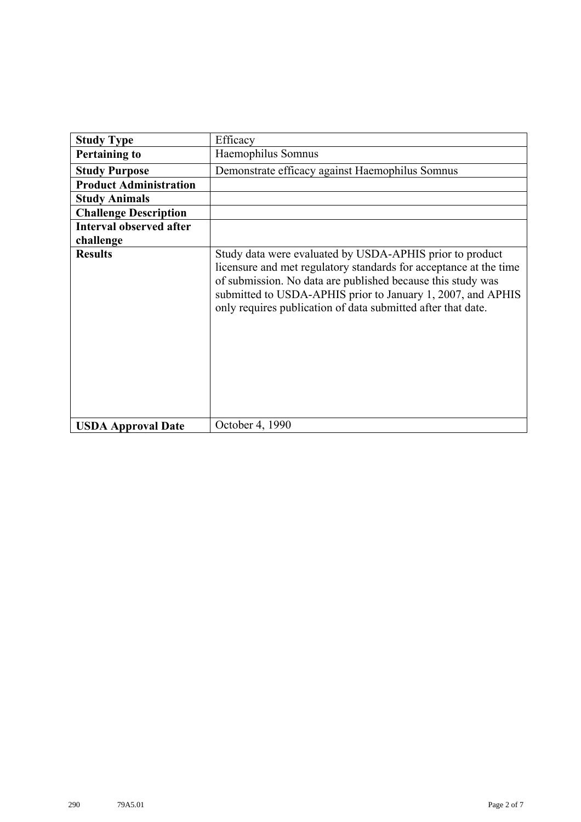| <b>Study Type</b>              | Efficacy                                                                                                                                                                                                                                                                                                                    |
|--------------------------------|-----------------------------------------------------------------------------------------------------------------------------------------------------------------------------------------------------------------------------------------------------------------------------------------------------------------------------|
| <b>Pertaining to</b>           | Haemophilus Somnus                                                                                                                                                                                                                                                                                                          |
| <b>Study Purpose</b>           | Demonstrate efficacy against Haemophilus Somnus                                                                                                                                                                                                                                                                             |
| <b>Product Administration</b>  |                                                                                                                                                                                                                                                                                                                             |
| <b>Study Animals</b>           |                                                                                                                                                                                                                                                                                                                             |
| <b>Challenge Description</b>   |                                                                                                                                                                                                                                                                                                                             |
| <b>Interval observed after</b> |                                                                                                                                                                                                                                                                                                                             |
| challenge                      |                                                                                                                                                                                                                                                                                                                             |
| <b>Results</b>                 | Study data were evaluated by USDA-APHIS prior to product<br>licensure and met regulatory standards for acceptance at the time<br>of submission. No data are published because this study was<br>submitted to USDA-APHIS prior to January 1, 2007, and APHIS<br>only requires publication of data submitted after that date. |
| <b>USDA Approval Date</b>      | October 4, 1990                                                                                                                                                                                                                                                                                                             |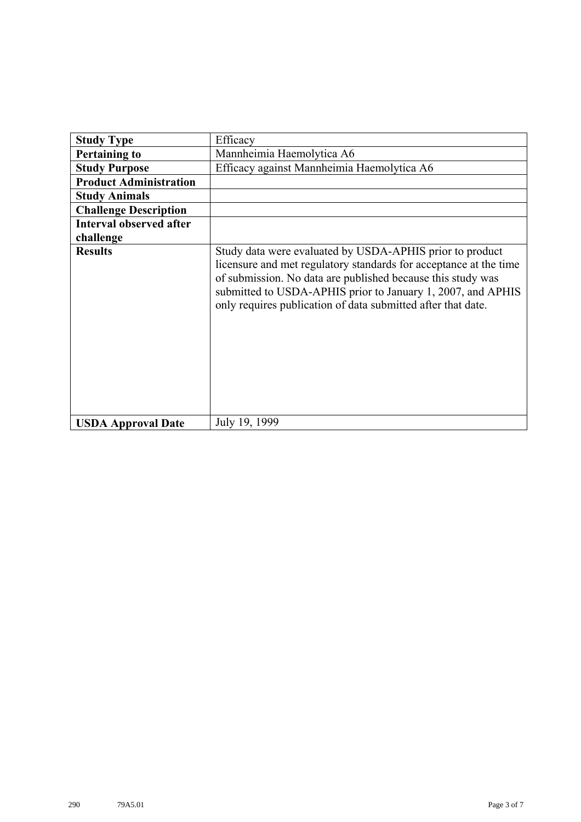| <b>Study Type</b>              | Efficacy                                                                                                                                                                                                                                                                                                                    |
|--------------------------------|-----------------------------------------------------------------------------------------------------------------------------------------------------------------------------------------------------------------------------------------------------------------------------------------------------------------------------|
| <b>Pertaining to</b>           | Mannheimia Haemolytica A6                                                                                                                                                                                                                                                                                                   |
| <b>Study Purpose</b>           | Efficacy against Mannheimia Haemolytica A6                                                                                                                                                                                                                                                                                  |
| <b>Product Administration</b>  |                                                                                                                                                                                                                                                                                                                             |
| <b>Study Animals</b>           |                                                                                                                                                                                                                                                                                                                             |
| <b>Challenge Description</b>   |                                                                                                                                                                                                                                                                                                                             |
| <b>Interval observed after</b> |                                                                                                                                                                                                                                                                                                                             |
| challenge                      |                                                                                                                                                                                                                                                                                                                             |
| <b>Results</b>                 | Study data were evaluated by USDA-APHIS prior to product<br>licensure and met regulatory standards for acceptance at the time<br>of submission. No data are published because this study was<br>submitted to USDA-APHIS prior to January 1, 2007, and APHIS<br>only requires publication of data submitted after that date. |
| <b>USDA Approval Date</b>      | July 19, 1999                                                                                                                                                                                                                                                                                                               |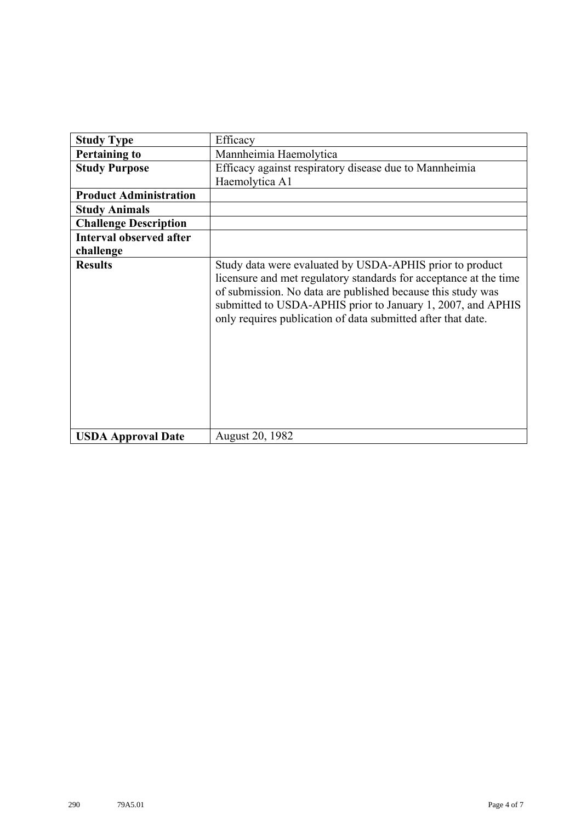| <b>Study Type</b>              | Efficacy                                                                                                                                                                                                                                                                                                                    |
|--------------------------------|-----------------------------------------------------------------------------------------------------------------------------------------------------------------------------------------------------------------------------------------------------------------------------------------------------------------------------|
| <b>Pertaining to</b>           | Mannheimia Haemolytica                                                                                                                                                                                                                                                                                                      |
| <b>Study Purpose</b>           | Efficacy against respiratory disease due to Mannheimia                                                                                                                                                                                                                                                                      |
|                                | Haemolytica A1                                                                                                                                                                                                                                                                                                              |
| <b>Product Administration</b>  |                                                                                                                                                                                                                                                                                                                             |
| <b>Study Animals</b>           |                                                                                                                                                                                                                                                                                                                             |
| <b>Challenge Description</b>   |                                                                                                                                                                                                                                                                                                                             |
| <b>Interval observed after</b> |                                                                                                                                                                                                                                                                                                                             |
| challenge                      |                                                                                                                                                                                                                                                                                                                             |
| <b>Results</b>                 | Study data were evaluated by USDA-APHIS prior to product<br>licensure and met regulatory standards for acceptance at the time<br>of submission. No data are published because this study was<br>submitted to USDA-APHIS prior to January 1, 2007, and APHIS<br>only requires publication of data submitted after that date. |
| <b>USDA Approval Date</b>      | August 20, 1982                                                                                                                                                                                                                                                                                                             |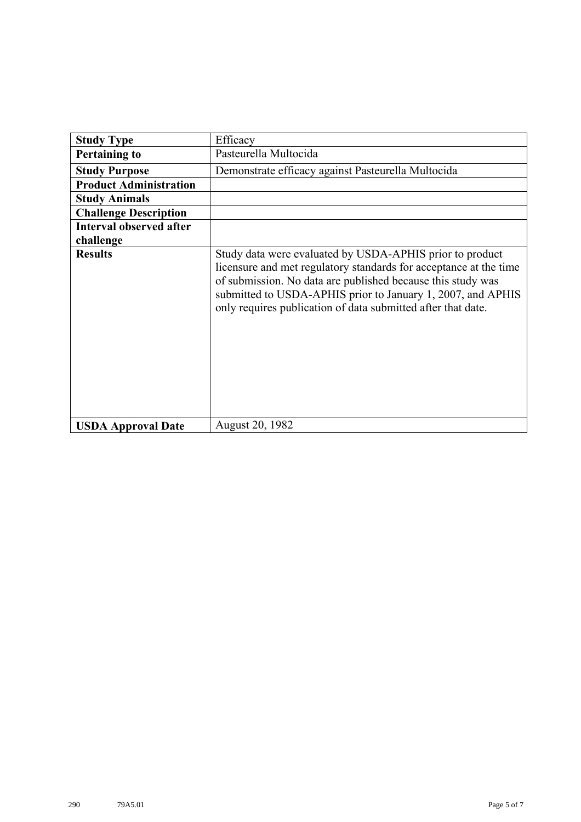| <b>Study Type</b>              | Efficacy                                                                                                                                                                                                                                                                                                                    |
|--------------------------------|-----------------------------------------------------------------------------------------------------------------------------------------------------------------------------------------------------------------------------------------------------------------------------------------------------------------------------|
| <b>Pertaining to</b>           | Pasteurella Multocida                                                                                                                                                                                                                                                                                                       |
| <b>Study Purpose</b>           | Demonstrate efficacy against Pasteurella Multocida                                                                                                                                                                                                                                                                          |
| <b>Product Administration</b>  |                                                                                                                                                                                                                                                                                                                             |
| <b>Study Animals</b>           |                                                                                                                                                                                                                                                                                                                             |
| <b>Challenge Description</b>   |                                                                                                                                                                                                                                                                                                                             |
| <b>Interval observed after</b> |                                                                                                                                                                                                                                                                                                                             |
| challenge                      |                                                                                                                                                                                                                                                                                                                             |
| <b>Results</b>                 | Study data were evaluated by USDA-APHIS prior to product<br>licensure and met regulatory standards for acceptance at the time<br>of submission. No data are published because this study was<br>submitted to USDA-APHIS prior to January 1, 2007, and APHIS<br>only requires publication of data submitted after that date. |
| <b>USDA Approval Date</b>      | <b>August 20, 1982</b>                                                                                                                                                                                                                                                                                                      |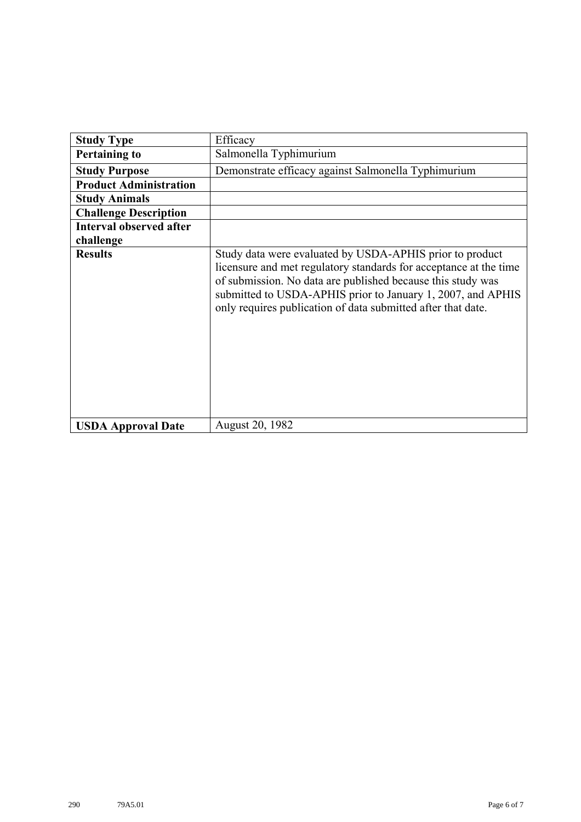| <b>Study Type</b>              | Efficacy                                                                                                                                                                                                                                                                                                                    |
|--------------------------------|-----------------------------------------------------------------------------------------------------------------------------------------------------------------------------------------------------------------------------------------------------------------------------------------------------------------------------|
| <b>Pertaining to</b>           | Salmonella Typhimurium                                                                                                                                                                                                                                                                                                      |
| <b>Study Purpose</b>           | Demonstrate efficacy against Salmonella Typhimurium                                                                                                                                                                                                                                                                         |
| <b>Product Administration</b>  |                                                                                                                                                                                                                                                                                                                             |
| <b>Study Animals</b>           |                                                                                                                                                                                                                                                                                                                             |
| <b>Challenge Description</b>   |                                                                                                                                                                                                                                                                                                                             |
| <b>Interval observed after</b> |                                                                                                                                                                                                                                                                                                                             |
| challenge                      |                                                                                                                                                                                                                                                                                                                             |
| <b>Results</b>                 | Study data were evaluated by USDA-APHIS prior to product<br>licensure and met regulatory standards for acceptance at the time<br>of submission. No data are published because this study was<br>submitted to USDA-APHIS prior to January 1, 2007, and APHIS<br>only requires publication of data submitted after that date. |
| <b>USDA Approval Date</b>      | August 20, 1982                                                                                                                                                                                                                                                                                                             |